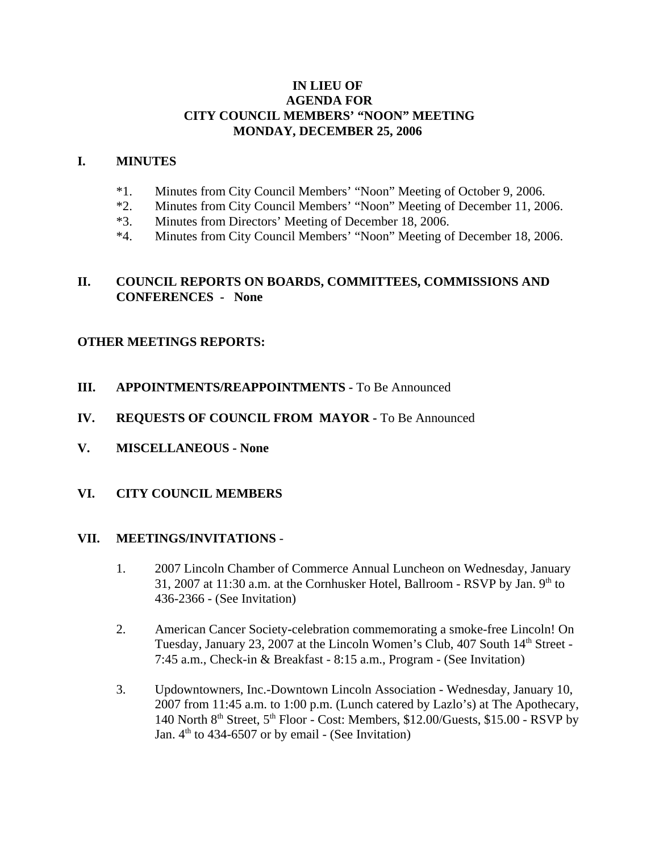## **IN LIEU OF AGENDA FOR CITY COUNCIL MEMBERS' "NOON" MEETING MONDAY, DECEMBER 25, 2006**

#### **I. MINUTES**

- \*1. Minutes from City Council Members' "Noon" Meeting of October 9, 2006.
- \*2. Minutes from City Council Members' "Noon" Meeting of December 11, 2006.
- \*3. Minutes from Directors' Meeting of December 18, 2006.
- \*4. Minutes from City Council Members' "Noon" Meeting of December 18, 2006.

#### **II. COUNCIL REPORTS ON BOARDS, COMMITTEES, COMMISSIONS AND CONFERENCES - None**

## **OTHER MEETINGS REPORTS:**

- **III.** APPOINTMENTS/REAPPOINTMENTS To Be Announced
- **IV. REQUESTS OF COUNCIL FROM MAYOR -** To Be Announced
- **V. MISCELLANEOUS None**

#### **VI. CITY COUNCIL MEMBERS**

#### **VII. MEETINGS/INVITATIONS** -

- 1. 2007 Lincoln Chamber of Commerce Annual Luncheon on Wednesday, January 31, 2007 at 11:30 a.m. at the Cornhusker Hotel, Ballroom - RSVP by Jan.  $9<sup>th</sup>$  to 436-2366 - (See Invitation)
- 2. American Cancer Society**-**celebration commemorating a smoke-free Lincoln! On Tuesday, January 23, 2007 at the Lincoln Women's Club, 407 South  $14<sup>th</sup>$  Street -7:45 a.m., Check-in & Breakfast - 8:15 a.m., Program - (See Invitation)
- 3. Updowntowners, Inc.-Downtown Lincoln Association Wednesday, January 10, 2007 from 11:45 a.m. to 1:00 p.m. (Lunch catered by Lazlo's) at The Apothecary, 140 North  $8<sup>th</sup>$  Street,  $5<sup>th</sup>$  Floor - Cost: Members, \$12.00/Guests, \$15.00 - RSVP by Jan.  $4<sup>th</sup>$  to 434-6507 or by email - (See Invitation)